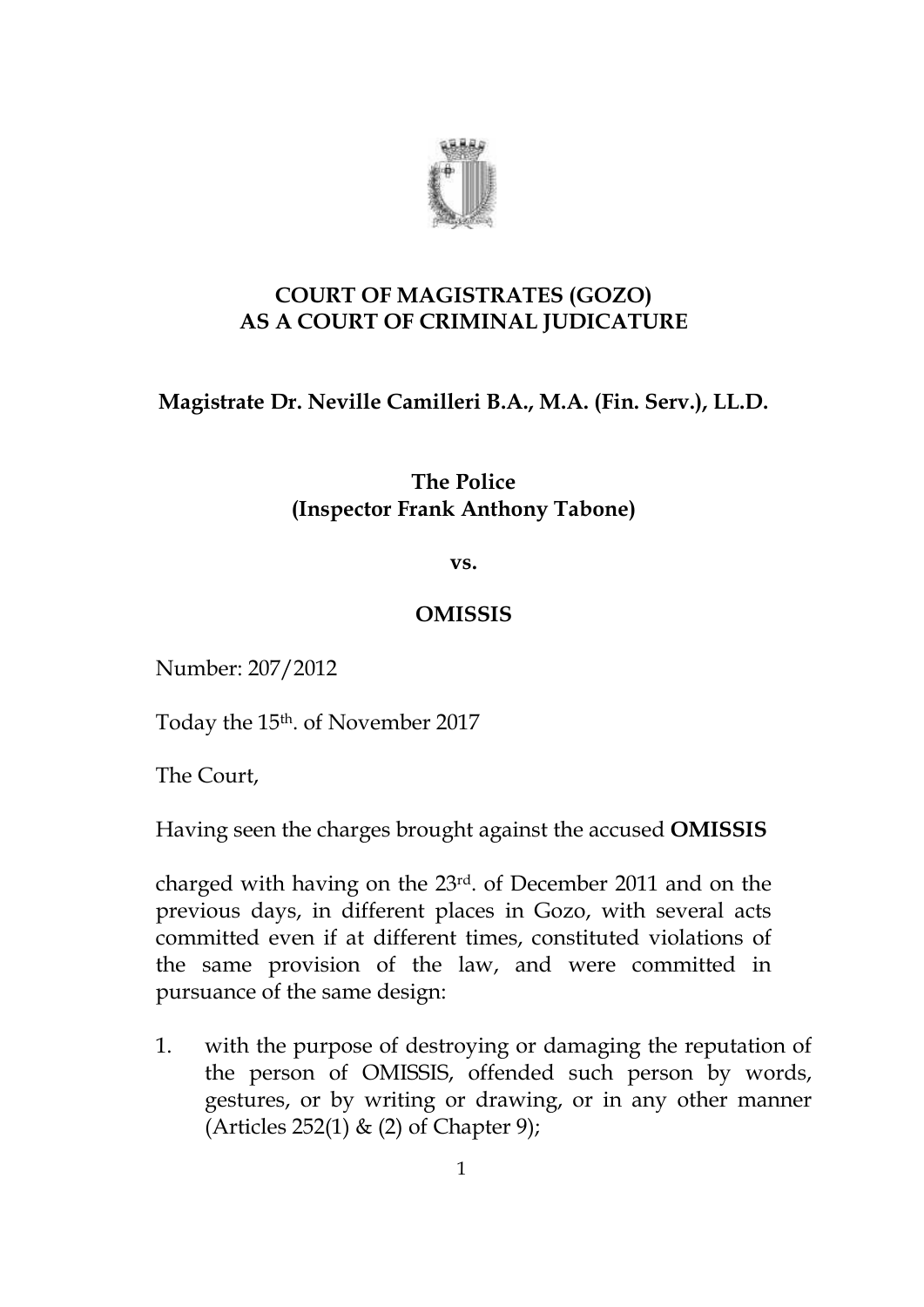

# **COURT OF MAGISTRATES (GOZO) AS A COURT OF CRIMINAL JUDICATURE**

# **Magistrate Dr. Neville Camilleri B.A., M.A. (Fin. Serv.), LL.D.**

### **The Police (Inspector Frank Anthony Tabone)**

**vs.**

### **OMISSIS**

Number: 207/2012

Today the 15th. of November 2017

The Court,

Having seen the charges brought against the accused **OMISSIS**

charged with having on the 23rd. of December 2011 and on the previous days, in different places in Gozo, with several acts committed even if at different times, constituted violations of the same provision of the law, and were committed in pursuance of the same design:

1. with the purpose of destroying or damaging the reputation of the person of OMISSIS, offended such person by words, gestures, or by writing or drawing, or in any other manner (Articles 252(1) & (2) of Chapter 9);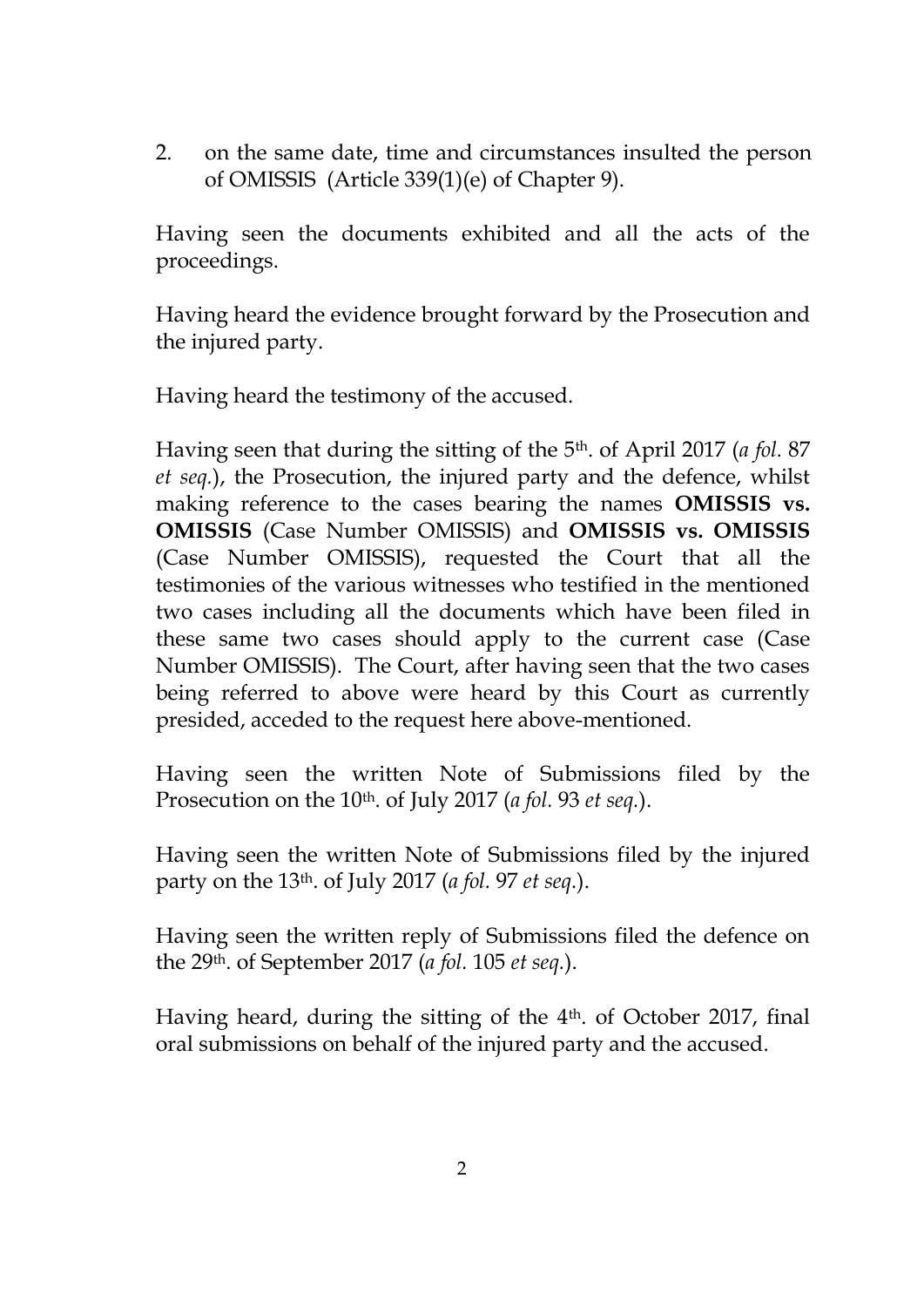2. on the same date, time and circumstances insulted the person of OMISSIS (Article 339(1)(e) of Chapter 9).

Having seen the documents exhibited and all the acts of the proceedings.

Having heard the evidence brought forward by the Prosecution and the injured party.

Having heard the testimony of the accused.

Having seen that during the sitting of the 5th. of April 2017 (*a fol.* 87 *et seq.*), the Prosecution, the injured party and the defence, whilst making reference to the cases bearing the names **OMISSIS vs. OMISSIS** (Case Number OMISSIS) and **OMISSIS vs. OMISSIS** (Case Number OMISSIS), requested the Court that all the testimonies of the various witnesses who testified in the mentioned two cases including all the documents which have been filed in these same two cases should apply to the current case (Case Number OMISSIS). The Court, after having seen that the two cases being referred to above were heard by this Court as currently presided, acceded to the request here above-mentioned.

Having seen the written Note of Submissions filed by the Prosecution on the 10th. of July 2017 (*a fol.* 93 *et seq.*).

Having seen the written Note of Submissions filed by the injured party on the 13th. of July 2017 (*a fol.* 97 *et seq.*).

Having seen the written reply of Submissions filed the defence on the 29th. of September 2017 (*a fol.* 105 *et seq.*).

Having heard, during the sitting of the 4<sup>th</sup>. of October 2017, final oral submissions on behalf of the injured party and the accused.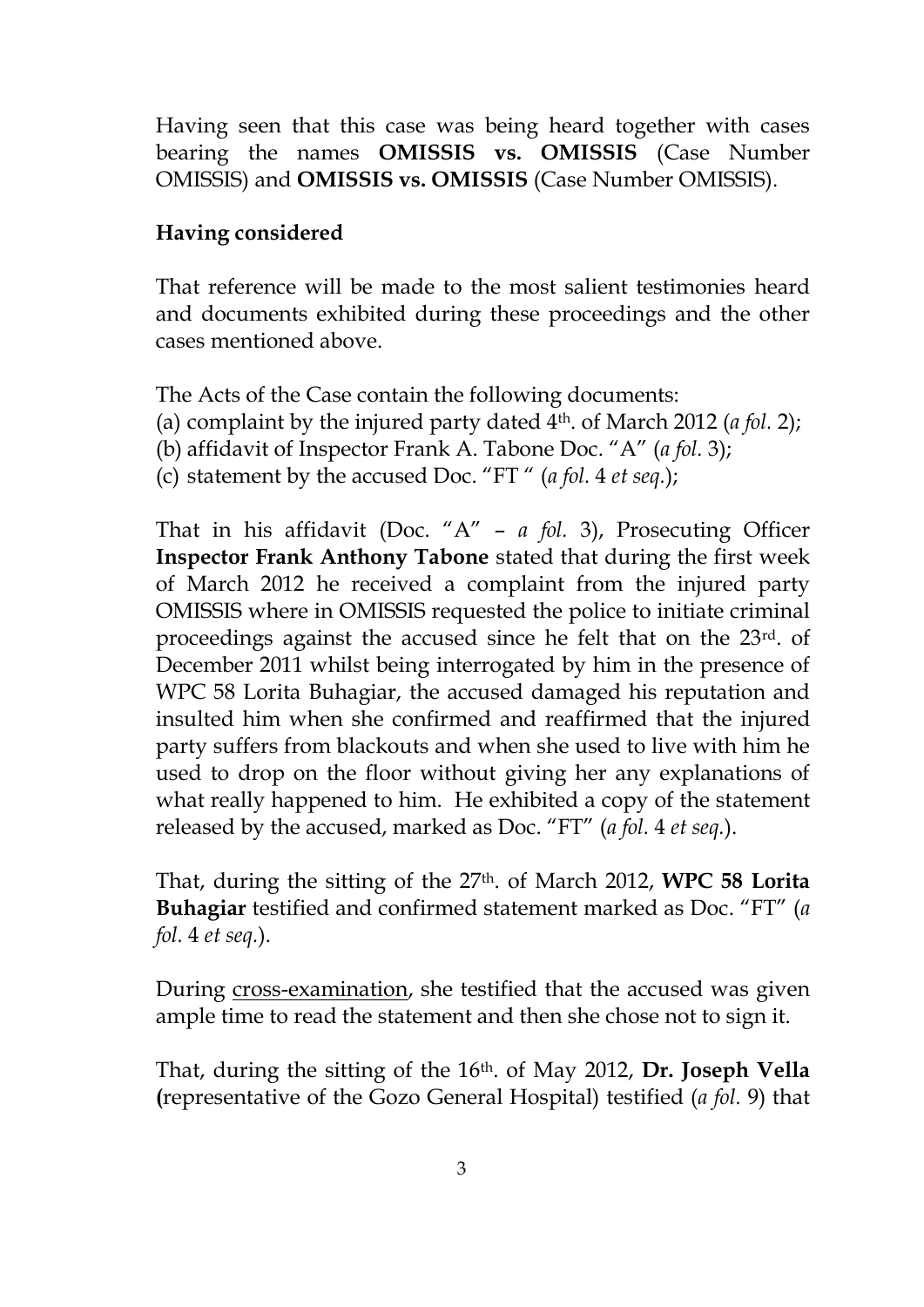Having seen that this case was being heard together with cases bearing the names **OMISSIS vs. OMISSIS** (Case Number OMISSIS) and **OMISSIS vs. OMISSIS** (Case Number OMISSIS).

#### **Having considered**

That reference will be made to the most salient testimonies heard and documents exhibited during these proceedings and the other cases mentioned above.

The Acts of the Case contain the following documents:

- (a) complaint by the injured party dated 4th. of March 2012 (*a fol.* 2);
- (b) affidavit of Inspector Frank A. Tabone Doc. "A" (*a fol.* 3);
- (c) statement by the accused Doc. "FT " (*a fol.* 4 *et seq.*);

That in his affidavit (Doc. "A" – *a fol.* 3), Prosecuting Officer **Inspector Frank Anthony Tabone** stated that during the first week of March 2012 he received a complaint from the injured party OMISSIS where in OMISSIS requested the police to initiate criminal proceedings against the accused since he felt that on the 23rd. of December 2011 whilst being interrogated by him in the presence of WPC 58 Lorita Buhagiar, the accused damaged his reputation and insulted him when she confirmed and reaffirmed that the injured party suffers from blackouts and when she used to live with him he used to drop on the floor without giving her any explanations of what really happened to him. He exhibited a copy of the statement released by the accused, marked as Doc. "FT" (*a fol.* 4 *et seq.*).

That, during the sitting of the 27th. of March 2012, **WPC 58 Lorita Buhagiar** testified and confirmed statement marked as Doc. "FT" (*a fol.* 4 *et seq.*).

During cross-examination, she testified that the accused was given ample time to read the statement and then she chose not to sign it.

That, during the sitting of the 16th. of May 2012, **Dr. Joseph Vella (**representative of the Gozo General Hospital) testified (*a fol.* 9) that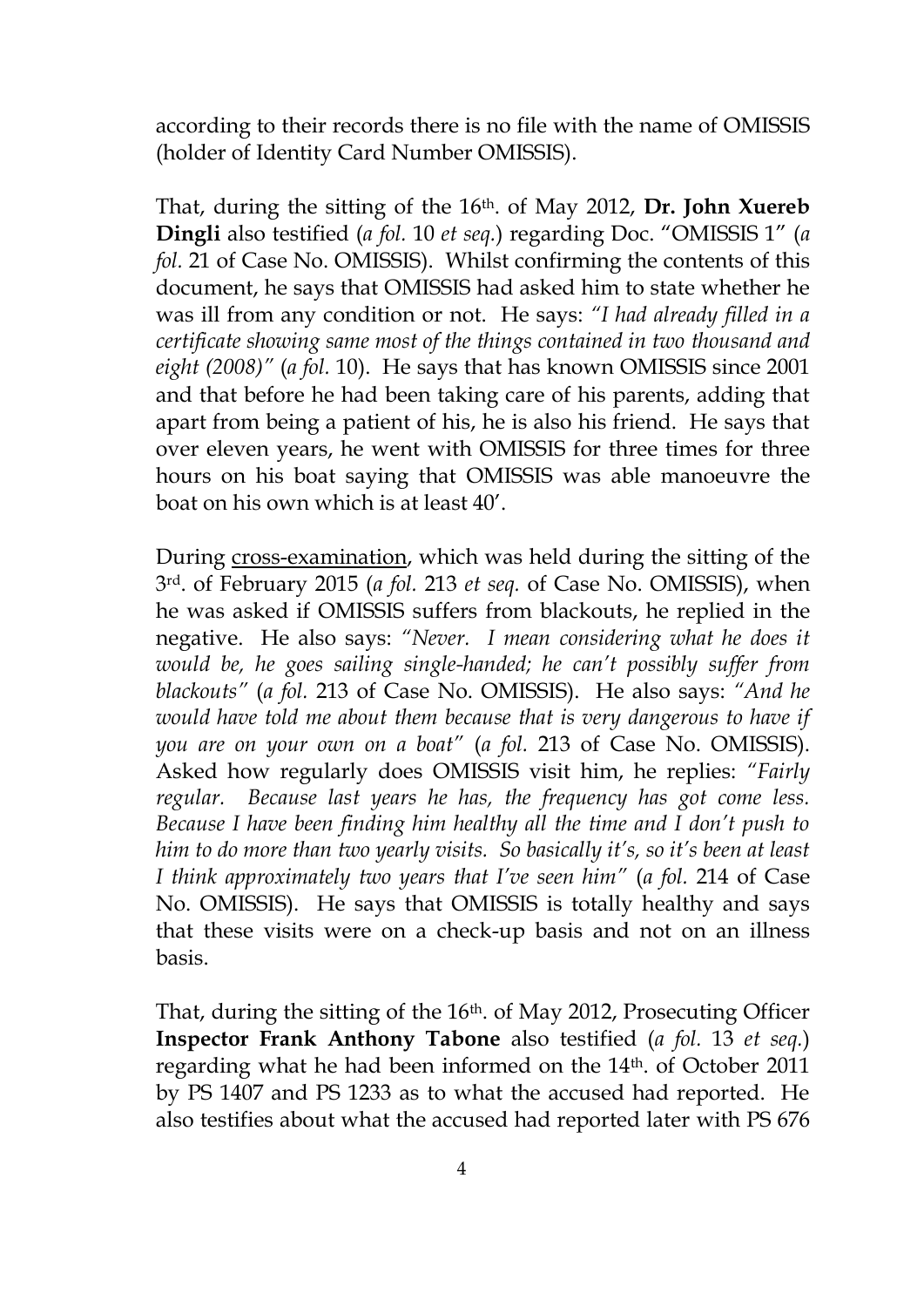according to their records there is no file with the name of OMISSIS (holder of Identity Card Number OMISSIS).

That, during the sitting of the 16th. of May 2012, **Dr. John Xuereb Dingli** also testified (*a fol.* 10 *et seq.*) regarding Doc. "OMISSIS 1" (*a fol.* 21 of Case No. OMISSIS). Whilst confirming the contents of this document, he says that OMISSIS had asked him to state whether he was ill from any condition or not. He says: *"I had already filled in a certificate showing same most of the things contained in two thousand and eight (2008)"* (*a fol.* 10). He says that has known OMISSIS since 2001 and that before he had been taking care of his parents, adding that apart from being a patient of his, he is also his friend. He says that over eleven years, he went with OMISSIS for three times for three hours on his boat saying that OMISSIS was able manoeuvre the boat on his own which is at least 40'.

During cross-examination, which was held during the sitting of the 3rd. of February 2015 (*a fol.* 213 *et seq.* of Case No. OMISSIS), when he was asked if OMISSIS suffers from blackouts, he replied in the negative. He also says: *"Never. I mean considering what he does it would be, he goes sailing single-handed; he can't possibly suffer from blackouts"* (*a fol.* 213 of Case No. OMISSIS). He also says: *"And he would have told me about them because that is very dangerous to have if you are on your own on a boat"* (*a fol.* 213 of Case No. OMISSIS). Asked how regularly does OMISSIS visit him, he replies: *"Fairly regular. Because last years he has, the frequency has got come less. Because I have been finding him healthy all the time and I don't push to him to do more than two yearly visits. So basically it's, so it's been at least I think approximately two years that I've seen him"* (*a fol.* 214 of Case No. OMISSIS). He says that OMISSIS is totally healthy and says that these visits were on a check-up basis and not on an illness basis.

That, during the sitting of the 16<sup>th</sup>. of May 2012, Prosecuting Officer **Inspector Frank Anthony Tabone** also testified (*a fol.* 13 *et seq.*) regarding what he had been informed on the 14th. of October 2011 by PS 1407 and PS 1233 as to what the accused had reported. He also testifies about what the accused had reported later with PS 676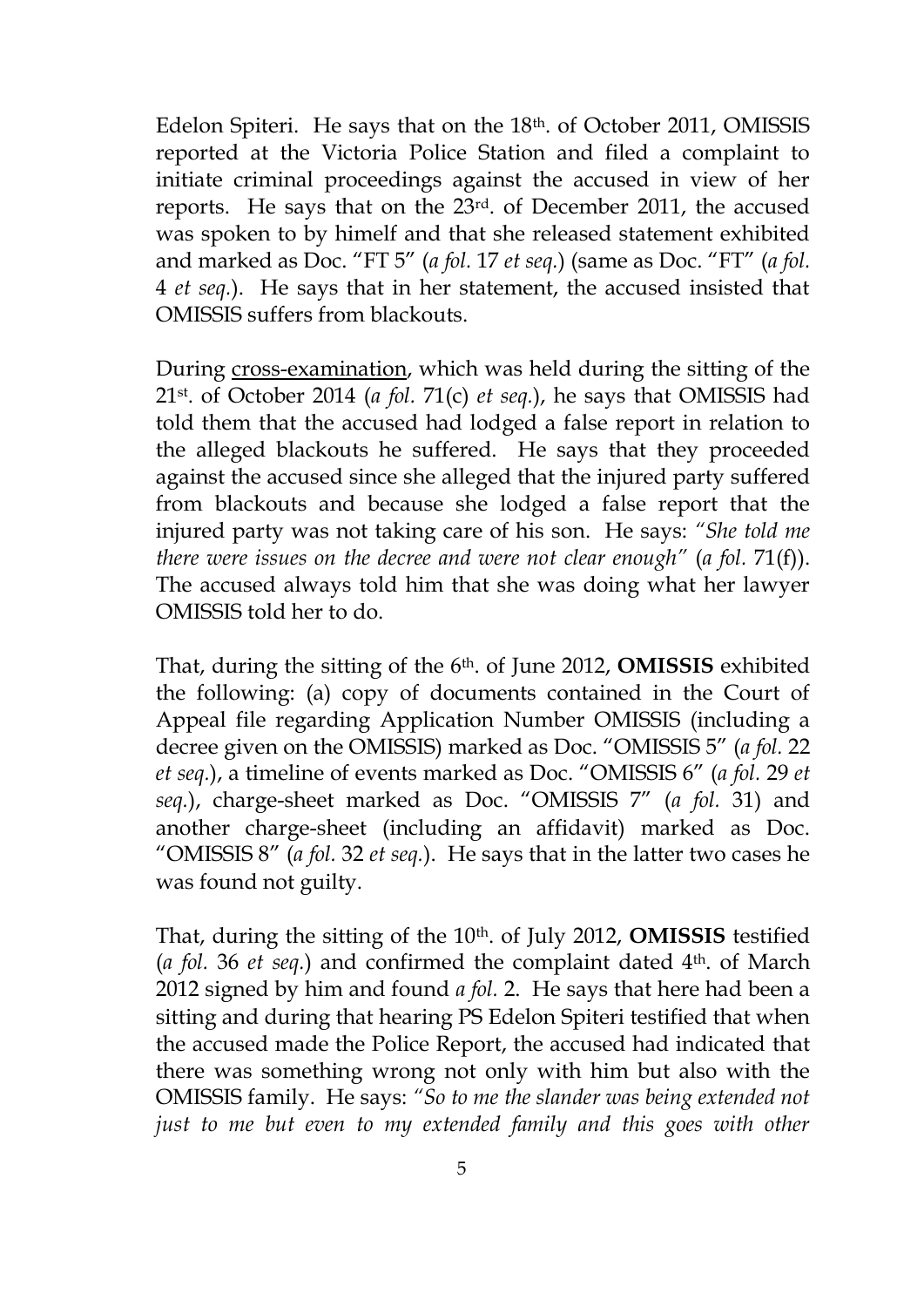Edelon Spiteri. He says that on the 18th. of October 2011, OMISSIS reported at the Victoria Police Station and filed a complaint to initiate criminal proceedings against the accused in view of her reports. He says that on the 23rd. of December 2011, the accused was spoken to by himelf and that she released statement exhibited and marked as Doc. "FT 5" (*a fol.* 17 *et seq.*) (same as Doc. "FT" (*a fol.*  4 *et seq.*). He says that in her statement, the accused insisted that OMISSIS suffers from blackouts.

During cross-examination, which was held during the sitting of the 21st. of October 2014 (*a fol.* 71(c) *et seq.*), he says that OMISSIS had told them that the accused had lodged a false report in relation to the alleged blackouts he suffered. He says that they proceeded against the accused since she alleged that the injured party suffered from blackouts and because she lodged a false report that the injured party was not taking care of his son. He says: *"She told me there were issues on the decree and were not clear enough"* (*a fol.* 71(f)). The accused always told him that she was doing what her lawyer OMISSIS told her to do.

That, during the sitting of the 6th. of June 2012, **OMISSIS** exhibited the following: (a) copy of documents contained in the Court of Appeal file regarding Application Number OMISSIS (including a decree given on the OMISSIS) marked as Doc. "OMISSIS 5" (*a fol.* 22 *et seq.*), a timeline of events marked as Doc. "OMISSIS 6" (*a fol.* 29 *et seq.*), charge-sheet marked as Doc. "OMISSIS 7" (*a fol.* 31) and another charge-sheet (including an affidavit) marked as Doc. "OMISSIS 8" (*a fol.* 32 *et seq.*). He says that in the latter two cases he was found not guilty.

That, during the sitting of the 10th. of July 2012, **OMISSIS** testified (*a fol.* 36 *et seq.*) and confirmed the complaint dated 4th. of March 2012 signed by him and found *a fol.* 2. He says that here had been a sitting and during that hearing PS Edelon Spiteri testified that when the accused made the Police Report, the accused had indicated that there was something wrong not only with him but also with the OMISSIS family. He says: *"So to me the slander was being extended not just to me but even to my extended family and this goes with other*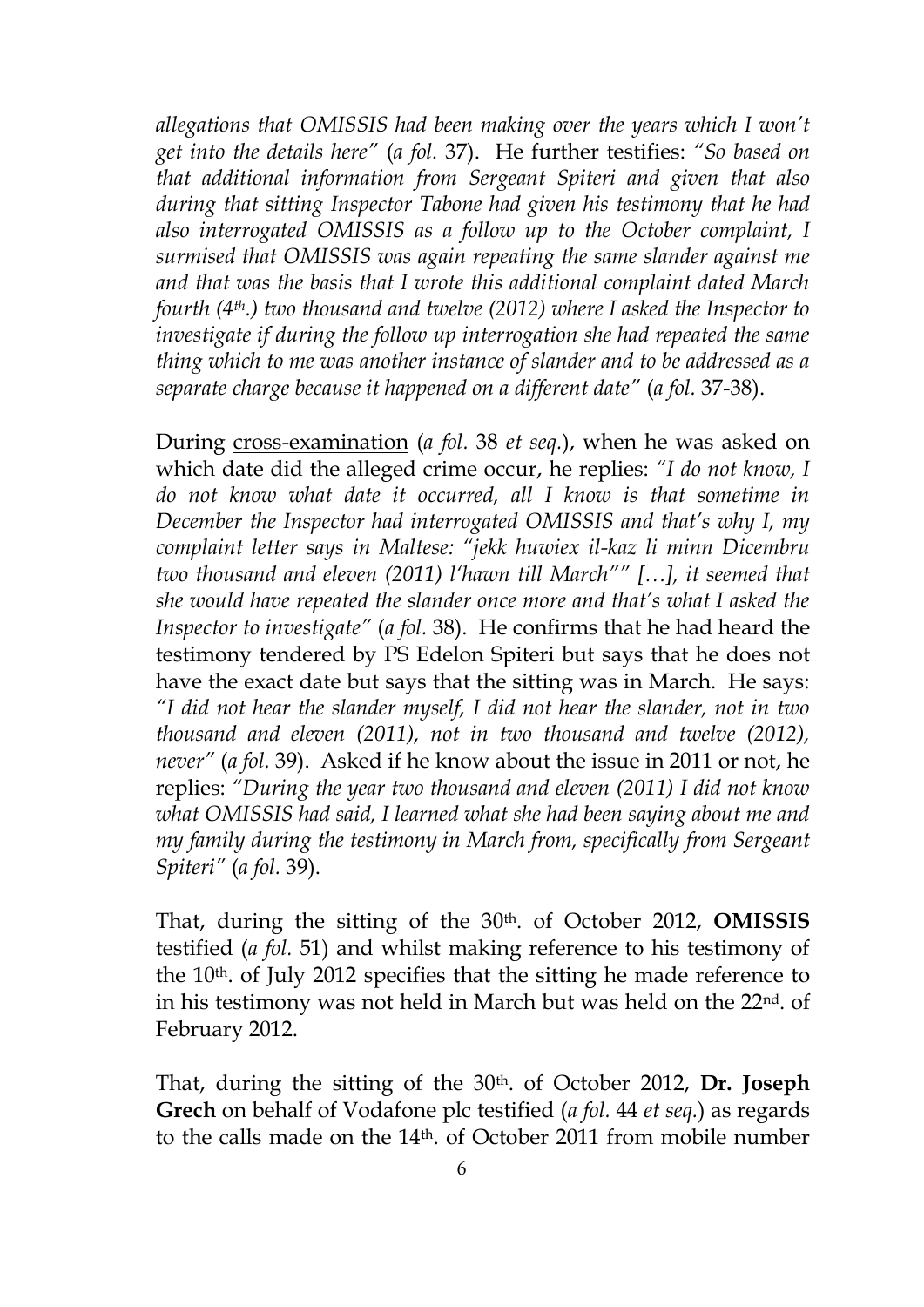*allegations that OMISSIS had been making over the years which I won't get into the details here"* (*a fol.* 37). He further testifies: *"So based on that additional information from Sergeant Spiteri and given that also during that sitting Inspector Tabone had given his testimony that he had also interrogated OMISSIS as a follow up to the October complaint, I surmised that OMISSIS was again repeating the same slander against me and that was the basis that I wrote this additional complaint dated March fourth (4th.) two thousand and twelve (2012) where I asked the Inspector to investigate if during the follow up interrogation she had repeated the same thing which to me was another instance of slander and to be addressed as a separate charge because it happened on a different date"* (*a fol.* 37-38).

During cross-examination (*a fol.* 38 *et seq.*), when he was asked on which date did the alleged crime occur, he replies: *"I do not know, I do not know what date it occurred, all I know is that sometime in December the Inspector had interrogated OMISSIS and that's why I, my complaint letter says in Maltese: "jekk huwiex il-kaz li minn Dicembru two thousand and eleven (2011) l'hawn till March"" […], it seemed that she would have repeated the slander once more and that's what I asked the Inspector to investigate"* (*a fol.* 38). He confirms that he had heard the testimony tendered by PS Edelon Spiteri but says that he does not have the exact date but says that the sitting was in March. He says: *"I did not hear the slander myself, I did not hear the slander, not in two thousand and eleven (2011), not in two thousand and twelve (2012), never"* (*a fol.* 39). Asked if he know about the issue in 2011 or not, he replies: *"During the year two thousand and eleven (2011) I did not know what OMISSIS had said, I learned what she had been saying about me and my family during the testimony in March from, specifically from Sergeant Spiteri"* (*a fol.* 39).

That, during the sitting of the 30th. of October 2012, **OMISSIS** testified (*a fol.* 51) and whilst making reference to his testimony of the 10<sup>th</sup>. of July 2012 specifies that the sitting he made reference to in his testimony was not held in March but was held on the 22nd. of February 2012.

That, during the sitting of the 30th. of October 2012, **Dr. Joseph Grech** on behalf of Vodafone plc testified (*a fol.* 44 *et seq.*) as regards to the calls made on the 14th. of October 2011 from mobile number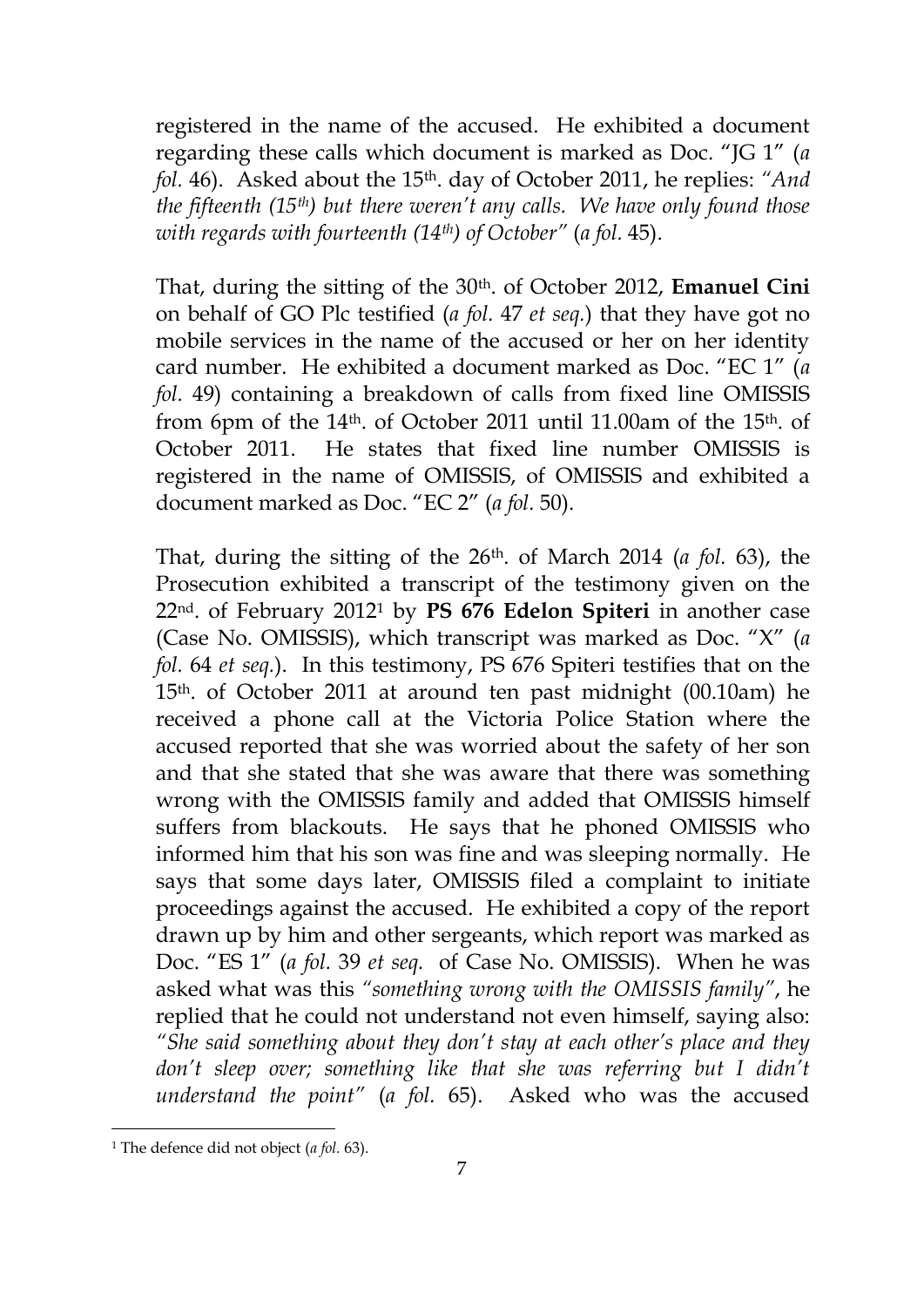registered in the name of the accused. He exhibited a document regarding these calls which document is marked as Doc. "JG 1" (*a fol.* 46). Asked about the 15th. day of October 2011, he replies: *"And the fifteenth (15th) but there weren't any calls. We have only found those with regards with fourteenth (14th) of October"* (*a fol.* 45).

That, during the sitting of the 30th. of October 2012, **Emanuel Cini**  on behalf of GO Plc testified (*a fol.* 47 *et seq.*) that they have got no mobile services in the name of the accused or her on her identity card number. He exhibited a document marked as Doc. "EC 1" (*a fol.* 49) containing a breakdown of calls from fixed line OMISSIS from 6pm of the 14th. of October 2011 until 11.00am of the 15th. of October 2011. He states that fixed line number OMISSIS is registered in the name of OMISSIS, of OMISSIS and exhibited a document marked as Doc. "EC 2" (*a fol.* 50).

That, during the sitting of the 26th. of March 2014 (*a fol.* 63), the Prosecution exhibited a transcript of the testimony given on the 22nd. of February 2012<sup>1</sup> by **PS 676 Edelon Spiteri** in another case (Case No. OMISSIS), which transcript was marked as Doc. "X" (*a fol.* 64 *et seq.*). In this testimony, PS 676 Spiteri testifies that on the 15th. of October 2011 at around ten past midnight (00.10am) he received a phone call at the Victoria Police Station where the accused reported that she was worried about the safety of her son and that she stated that she was aware that there was something wrong with the OMISSIS family and added that OMISSIS himself suffers from blackouts. He says that he phoned OMISSIS who informed him that his son was fine and was sleeping normally. He says that some days later, OMISSIS filed a complaint to initiate proceedings against the accused. He exhibited a copy of the report drawn up by him and other sergeants, which report was marked as Doc. "ES 1" (*a fol.* 39 *et seq.* of Case No. OMISSIS). When he was asked what was this *"something wrong with the OMISSIS family"*, he replied that he could not understand not even himself, saying also: *"She said something about they don't stay at each other's place and they don't sleep over; something like that she was referring but I didn't understand the point"* (*a fol.* 65). Asked who was the accused

<u>.</u>

<sup>1</sup> The defence did not object (*a fol.* 63).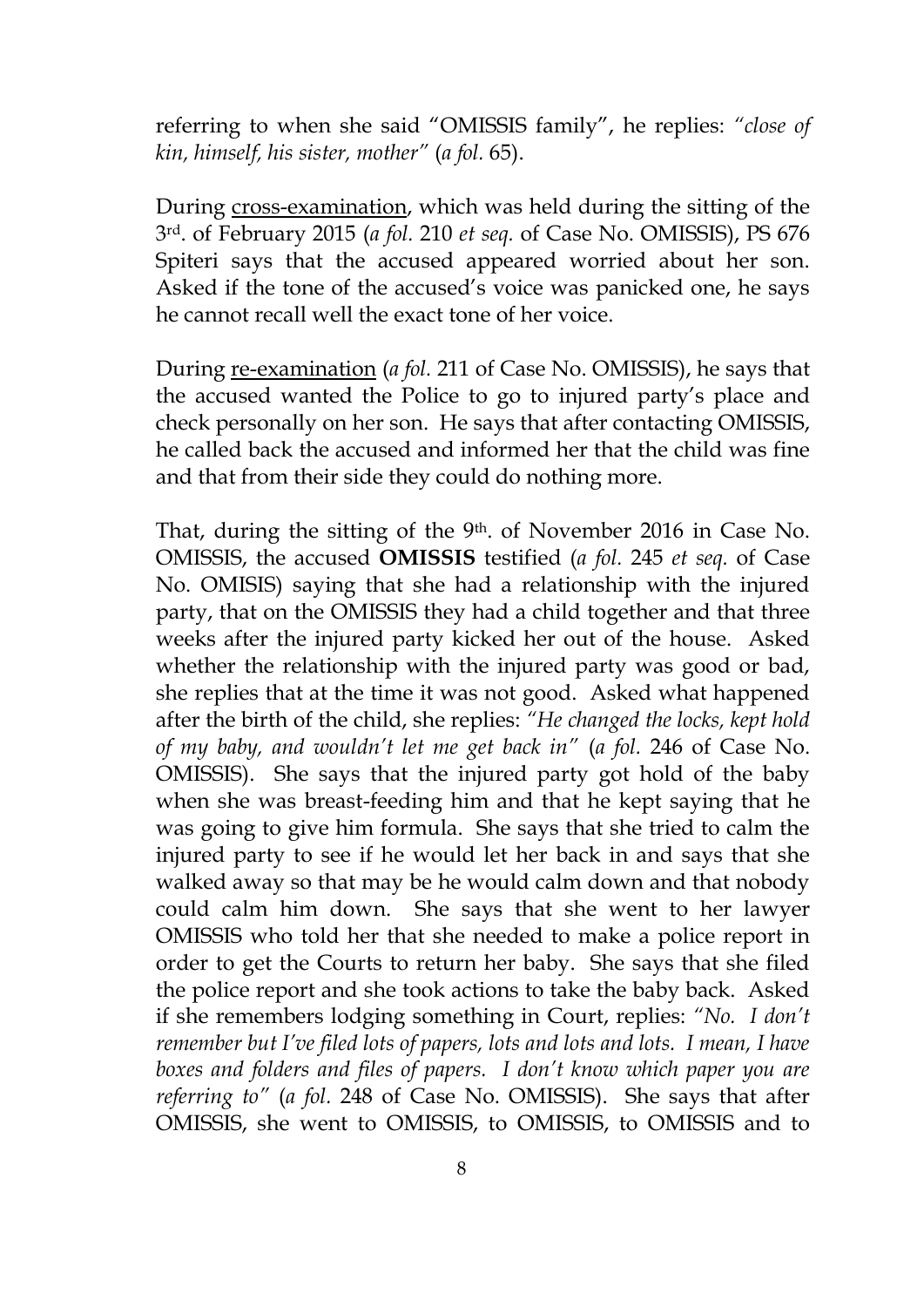referring to when she said "OMISSIS family", he replies: *"close of kin, himself, his sister, mother"* (*a fol.* 65).

During cross-examination, which was held during the sitting of the 3rd. of February 2015 (*a fol.* 210 *et seq.* of Case No. OMISSIS), PS 676 Spiteri says that the accused appeared worried about her son. Asked if the tone of the accused's voice was panicked one, he says he cannot recall well the exact tone of her voice.

During re-examination (*a fol.* 211 of Case No. OMISSIS), he says that the accused wanted the Police to go to injured party's place and check personally on her son. He says that after contacting OMISSIS, he called back the accused and informed her that the child was fine and that from their side they could do nothing more.

That, during the sitting of the 9th. of November 2016 in Case No. OMISSIS, the accused **OMISSIS** testified (*a fol.* 245 *et seq.* of Case No. OMISIS) saying that she had a relationship with the injured party, that on the OMISSIS they had a child together and that three weeks after the injured party kicked her out of the house. Asked whether the relationship with the injured party was good or bad, she replies that at the time it was not good. Asked what happened after the birth of the child, she replies: *"He changed the locks, kept hold of my baby, and wouldn't let me get back in"* (*a fol.* 246 of Case No. OMISSIS). She says that the injured party got hold of the baby when she was breast-feeding him and that he kept saying that he was going to give him formula. She says that she tried to calm the injured party to see if he would let her back in and says that she walked away so that may be he would calm down and that nobody could calm him down. She says that she went to her lawyer OMISSIS who told her that she needed to make a police report in order to get the Courts to return her baby. She says that she filed the police report and she took actions to take the baby back. Asked if she remembers lodging something in Court, replies: *"No. I don't remember but I've filed lots of papers, lots and lots and lots. I mean, I have boxes and folders and files of papers. I don't know which paper you are referring to"* (*a fol.* 248 of Case No. OMISSIS). She says that after OMISSIS, she went to OMISSIS, to OMISSIS, to OMISSIS and to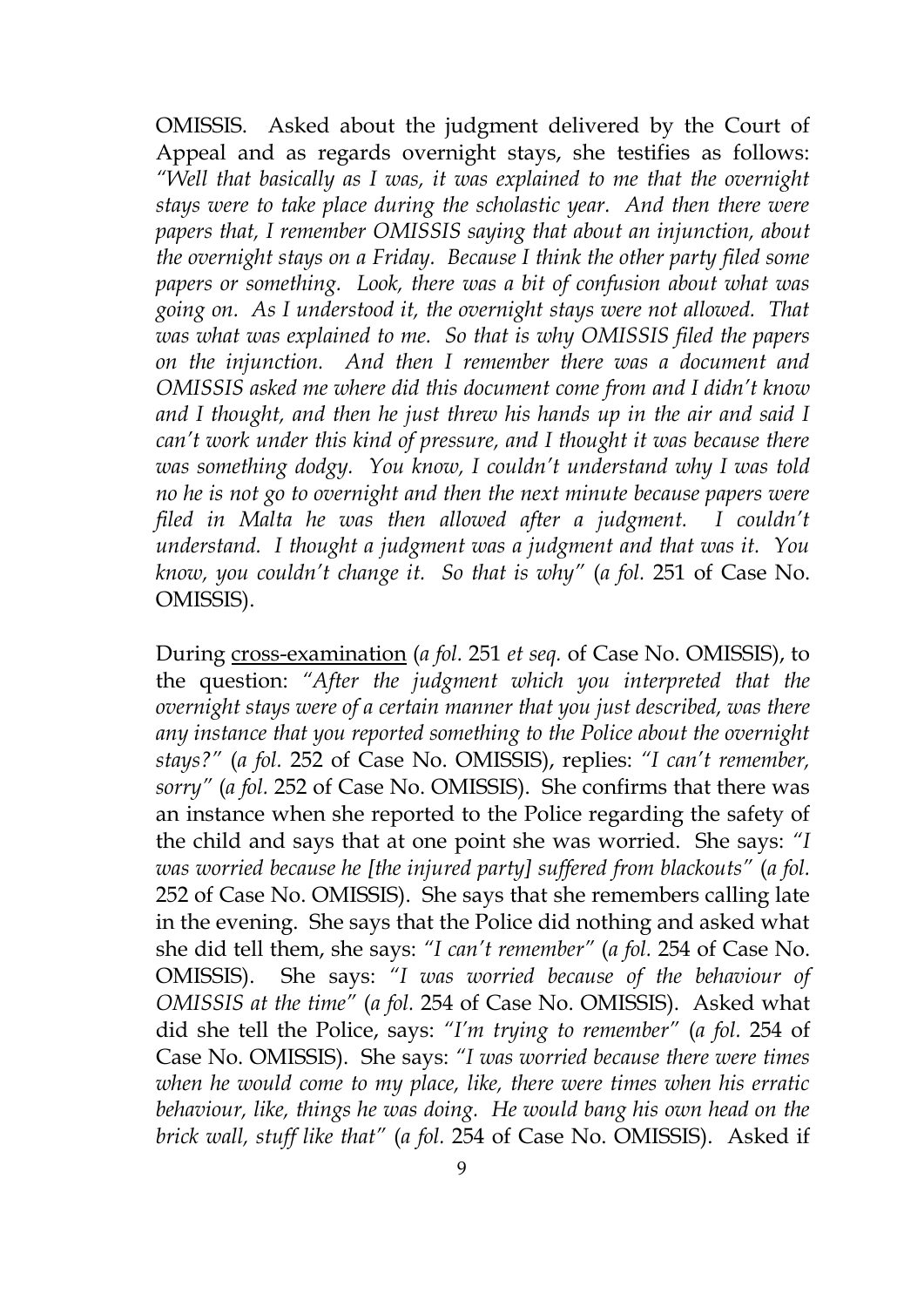OMISSIS. Asked about the judgment delivered by the Court of Appeal and as regards overnight stays, she testifies as follows: *"Well that basically as I was, it was explained to me that the overnight stays were to take place during the scholastic year. And then there were papers that, I remember OMISSIS saying that about an injunction, about the overnight stays on a Friday. Because I think the other party filed some papers or something. Look, there was a bit of confusion about what was going on. As I understood it, the overnight stays were not allowed. That was what was explained to me. So that is why OMISSIS filed the papers on the injunction. And then I remember there was a document and OMISSIS asked me where did this document come from and I didn't know and I thought, and then he just threw his hands up in the air and said I can't work under this kind of pressure, and I thought it was because there was something dodgy. You know, I couldn't understand why I was told no he is not go to overnight and then the next minute because papers were filed in Malta he was then allowed after a judgment. I couldn't understand. I thought a judgment was a judgment and that was it. You know, you couldn't change it. So that is why"* (*a fol.* 251 of Case No. OMISSIS).

During cross-examination (*a fol.* 251 *et seq.* of Case No. OMISSIS), to the question: *"After the judgment which you interpreted that the overnight stays were of a certain manner that you just described, was there any instance that you reported something to the Police about the overnight stays?"* (*a fol.* 252 of Case No. OMISSIS), replies: *"I can't remember, sorry"* (*a fol.* 252 of Case No. OMISSIS). She confirms that there was an instance when she reported to the Police regarding the safety of the child and says that at one point she was worried. She says: *"I was worried because he [the injured party] suffered from blackouts"* (*a fol.*  252 of Case No. OMISSIS). She says that she remembers calling late in the evening. She says that the Police did nothing and asked what she did tell them, she says: *"I can't remember"* (*a fol.* 254 of Case No. OMISSIS). She says: *"I was worried because of the behaviour of OMISSIS at the time"* (*a fol.* 254 of Case No. OMISSIS). Asked what did she tell the Police, says: *"I'm trying to remember"* (*a fol.* 254 of Case No. OMISSIS). She says: *"I was worried because there were times when he would come to my place, like, there were times when his erratic behaviour, like, things he was doing. He would bang his own head on the brick wall, stuff like that"* (*a fol.* 254 of Case No. OMISSIS). Asked if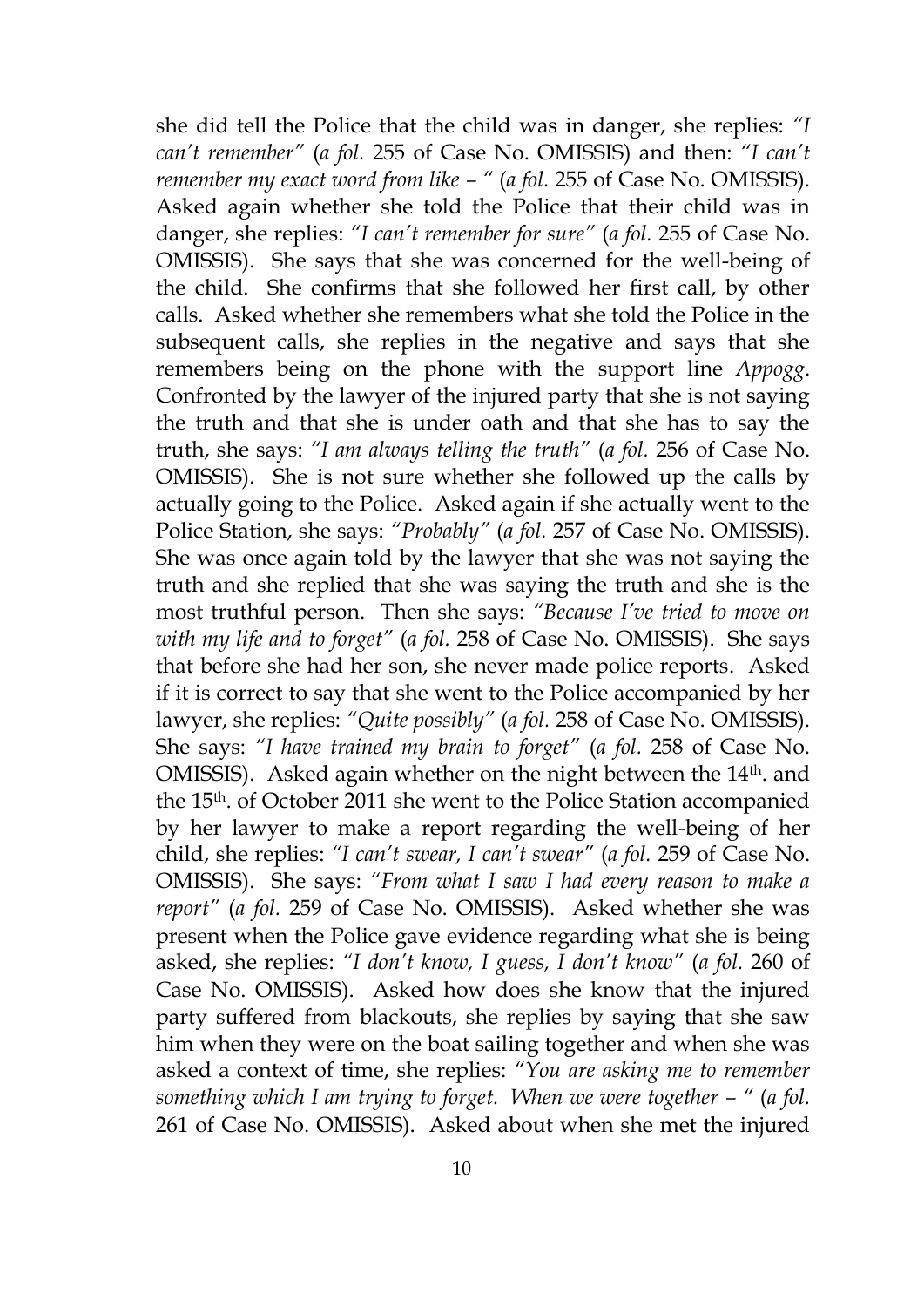she did tell the Police that the child was in danger, she replies: *"I can't remember"* (*a fol.* 255 of Case No. OMISSIS) and then: *"I can't remember my exact word from like – "* (*a fol.* 255 of Case No. OMISSIS). Asked again whether she told the Police that their child was in danger, she replies: *"I can't remember for sure"* (*a fol.* 255 of Case No. OMISSIS). She says that she was concerned for the well-being of the child. She confirms that she followed her first call, by other calls. Asked whether she remembers what she told the Police in the subsequent calls, she replies in the negative and says that she remembers being on the phone with the support line *Appogg*. Confronted by the lawyer of the injured party that she is not saying the truth and that she is under oath and that she has to say the truth, she says: *"I am always telling the truth"* (*a fol.* 256 of Case No. OMISSIS). She is not sure whether she followed up the calls by actually going to the Police. Asked again if she actually went to the Police Station, she says: *"Probably"* (*a fol.* 257 of Case No. OMISSIS). She was once again told by the lawyer that she was not saying the truth and she replied that she was saying the truth and she is the most truthful person. Then she says: *"Because I've tried to move on with my life and to forget"* (*a fol.* 258 of Case No. OMISSIS). She says that before she had her son, she never made police reports. Asked if it is correct to say that she went to the Police accompanied by her lawyer, she replies: *"Quite possibly"* (*a fol.* 258 of Case No. OMISSIS). She says: *"I have trained my brain to forget"* (*a fol.* 258 of Case No. OMISSIS). Asked again whether on the night between the 14<sup>th</sup>. and the 15th. of October 2011 she went to the Police Station accompanied by her lawyer to make a report regarding the well-being of her child, she replies: *"I can't swear, I can't swear"* (*a fol.* 259 of Case No. OMISSIS). She says: *"From what I saw I had every reason to make a report"* (*a fol.* 259 of Case No. OMISSIS). Asked whether she was present when the Police gave evidence regarding what she is being asked, she replies: *"I don't know, I guess, I don't know"* (*a fol.* 260 of Case No. OMISSIS). Asked how does she know that the injured party suffered from blackouts, she replies by saying that she saw him when they were on the boat sailing together and when she was asked a context of time, she replies: *"You are asking me to remember something which I am trying to forget. When we were together*  $-$  *" (a fol.* 261 of Case No. OMISSIS). Asked about when she met the injured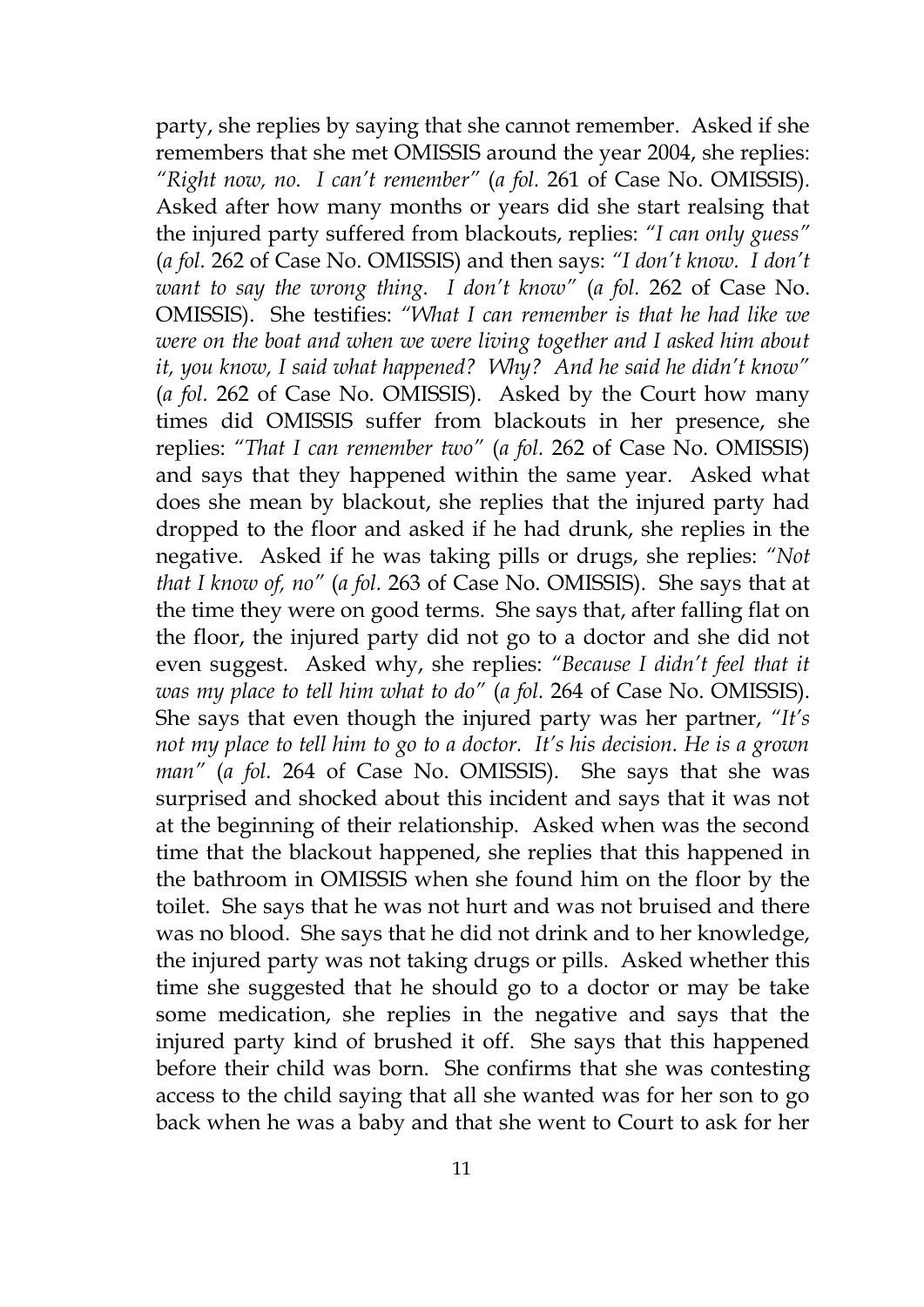party, she replies by saying that she cannot remember. Asked if she remembers that she met OMISSIS around the year 2004, she replies: *"Right now, no. I can't remember"* (*a fol.* 261 of Case No. OMISSIS). Asked after how many months or years did she start realsing that the injured party suffered from blackouts, replies: *"I can only guess"*  (*a fol.* 262 of Case No. OMISSIS) and then says: *"I don't know. I don't want to say the wrong thing. I don't know"* (*a fol.* 262 of Case No. OMISSIS). She testifies: *"What I can remember is that he had like we were on the boat and when we were living together and I asked him about it, you know, I said what happened? Why? And he said he didn't know"*  (*a fol.* 262 of Case No. OMISSIS). Asked by the Court how many times did OMISSIS suffer from blackouts in her presence, she replies: *"That I can remember two"* (*a fol.* 262 of Case No. OMISSIS) and says that they happened within the same year. Asked what does she mean by blackout, she replies that the injured party had dropped to the floor and asked if he had drunk, she replies in the negative. Asked if he was taking pills or drugs, she replies: *"Not that I know of, no"* (*a fol.* 263 of Case No. OMISSIS). She says that at the time they were on good terms. She says that, after falling flat on the floor, the injured party did not go to a doctor and she did not even suggest. Asked why, she replies: *"Because I didn't feel that it was my place to tell him what to do"* (*a fol.* 264 of Case No. OMISSIS). She says that even though the injured party was her partner, *"It's not my place to tell him to go to a doctor. It's his decision. He is a grown man"* (*a fol.* 264 of Case No. OMISSIS). She says that she was surprised and shocked about this incident and says that it was not at the beginning of their relationship. Asked when was the second time that the blackout happened, she replies that this happened in the bathroom in OMISSIS when she found him on the floor by the toilet. She says that he was not hurt and was not bruised and there was no blood. She says that he did not drink and to her knowledge, the injured party was not taking drugs or pills. Asked whether this time she suggested that he should go to a doctor or may be take some medication, she replies in the negative and says that the injured party kind of brushed it off. She says that this happened before their child was born. She confirms that she was contesting access to the child saying that all she wanted was for her son to go back when he was a baby and that she went to Court to ask for her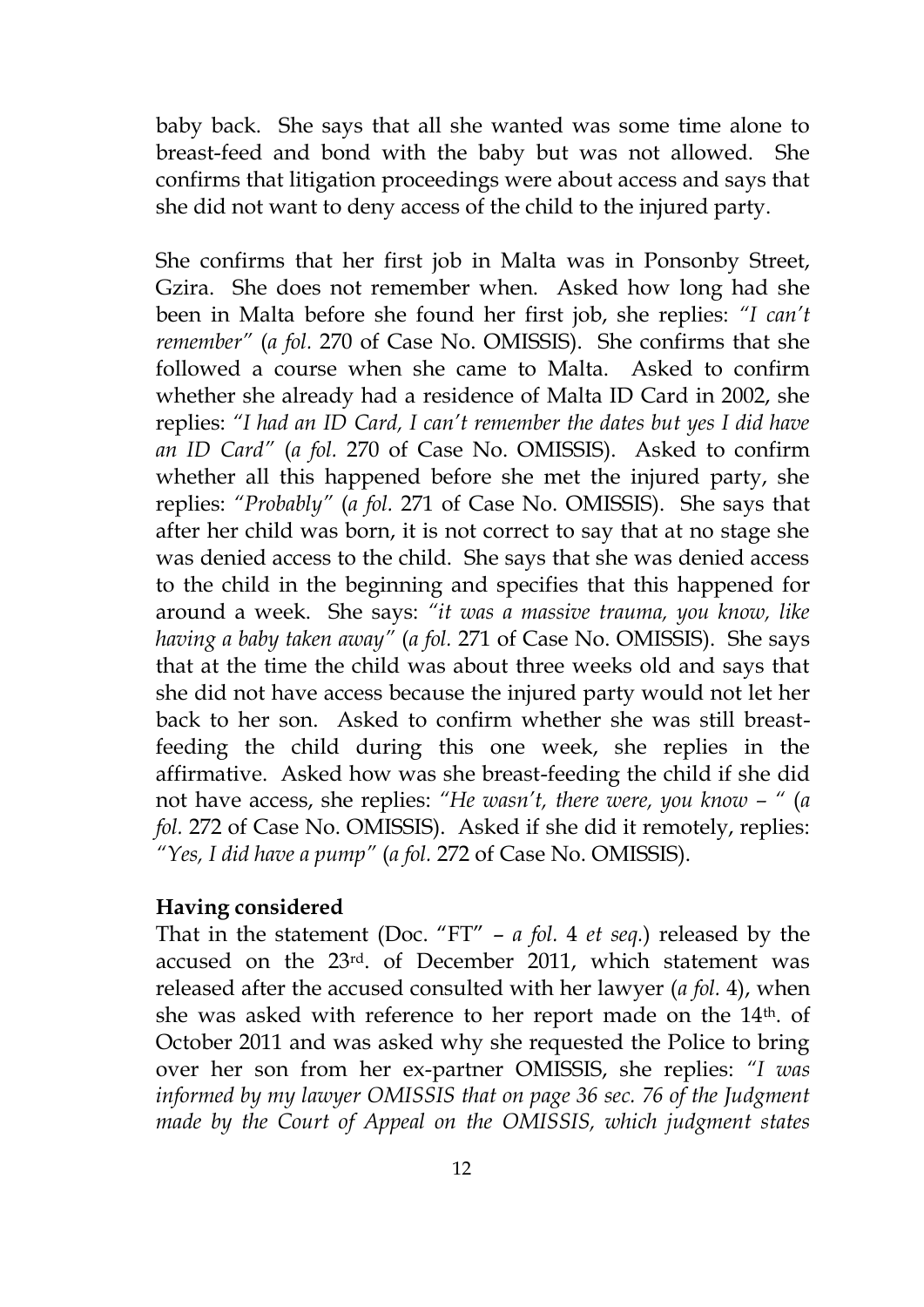baby back. She says that all she wanted was some time alone to breast-feed and bond with the baby but was not allowed. She confirms that litigation proceedings were about access and says that she did not want to deny access of the child to the injured party.

She confirms that her first job in Malta was in Ponsonby Street, Gzira. She does not remember when. Asked how long had she been in Malta before she found her first job, she replies: *"I can't remember"* (*a fol.* 270 of Case No. OMISSIS). She confirms that she followed a course when she came to Malta. Asked to confirm whether she already had a residence of Malta ID Card in 2002, she replies: *"I had an ID Card, I can't remember the dates but yes I did have an ID Card"* (*a fol.* 270 of Case No. OMISSIS). Asked to confirm whether all this happened before she met the injured party, she replies: *"Probably"* (*a fol.* 271 of Case No. OMISSIS). She says that after her child was born, it is not correct to say that at no stage she was denied access to the child. She says that she was denied access to the child in the beginning and specifies that this happened for around a week. She says: *"it was a massive trauma, you know, like having a baby taken away"* (*a fol.* 271 of Case No. OMISSIS). She says that at the time the child was about three weeks old and says that she did not have access because the injured party would not let her back to her son. Asked to confirm whether she was still breastfeeding the child during this one week, she replies in the affirmative. Asked how was she breast-feeding the child if she did not have access, she replies: *"He wasn't, there were, you know – "* (*a fol.* 272 of Case No. OMISSIS). Asked if she did it remotely, replies: *"Yes, I did have a pump"* (*a fol.* 272 of Case No. OMISSIS).

#### **Having considered**

That in the statement (Doc. "FT" – *a fol.* 4 *et seq.*) released by the accused on the 23rd. of December 2011, which statement was released after the accused consulted with her lawyer (*a fol.* 4), when she was asked with reference to her report made on the 14<sup>th</sup>. of October 2011 and was asked why she requested the Police to bring over her son from her ex-partner OMISSIS, she replies: *"I was informed by my lawyer OMISSIS that on page 36 sec. 76 of the Judgment made by the Court of Appeal on the OMISSIS, which judgment states*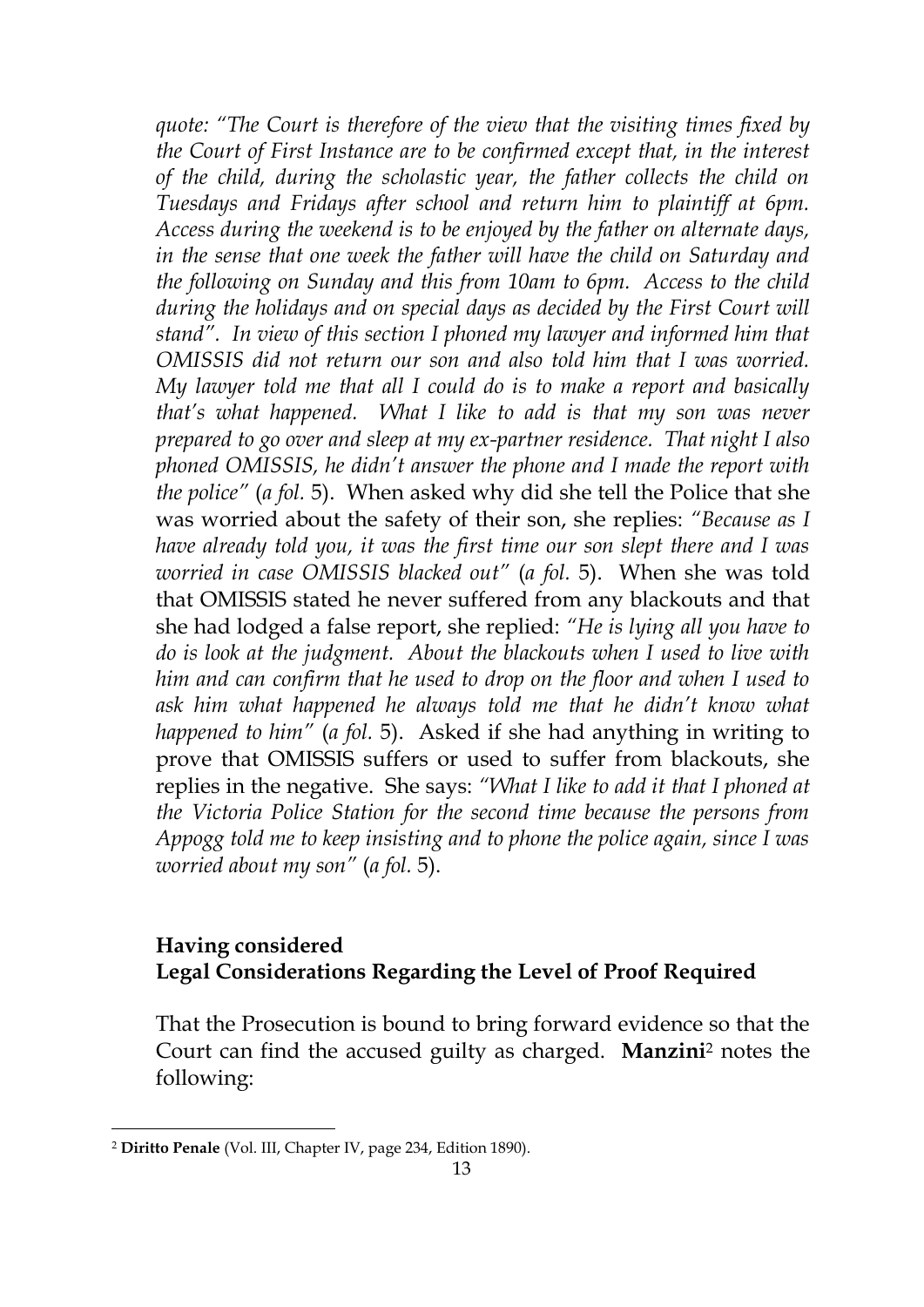*quote: "The Court is therefore of the view that the visiting times fixed by the Court of First Instance are to be confirmed except that, in the interest of the child, during the scholastic year, the father collects the child on Tuesdays and Fridays after school and return him to plaintiff at 6pm. Access during the weekend is to be enjoyed by the father on alternate days, in the sense that one week the father will have the child on Saturday and the following on Sunday and this from 10am to 6pm. Access to the child during the holidays and on special days as decided by the First Court will stand". In view of this section I phoned my lawyer and informed him that OMISSIS did not return our son and also told him that I was worried. My lawyer told me that all I could do is to make a report and basically that's what happened. What I like to add is that my son was never prepared to go over and sleep at my ex-partner residence. That night I also phoned OMISSIS, he didn't answer the phone and I made the report with the police"* (*a fol.* 5). When asked why did she tell the Police that she was worried about the safety of their son, she replies: *"Because as I have already told you, it was the first time our son slept there and I was worried in case OMISSIS blacked out"* (*a fol.* 5). When she was told that OMISSIS stated he never suffered from any blackouts and that she had lodged a false report, she replied: *"He is lying all you have to do is look at the judgment. About the blackouts when I used to live with him and can confirm that he used to drop on the floor and when I used to ask him what happened he always told me that he didn't know what happened to him"* (*a fol.* 5). Asked if she had anything in writing to prove that OMISSIS suffers or used to suffer from blackouts, she replies in the negative. She says: *"What I like to add it that I phoned at the Victoria Police Station for the second time because the persons from Appogg told me to keep insisting and to phone the police again, since I was worried about my son"* (*a fol.* 5).

### **Having considered Legal Considerations Regarding the Level of Proof Required**

That the Prosecution is bound to bring forward evidence so that the Court can find the accused guilty as charged. **Manzini**<sup>2</sup> notes the following:

<u>.</u>

<sup>2</sup> **Diritto Penale** (Vol. III, Chapter IV, page 234, Edition 1890).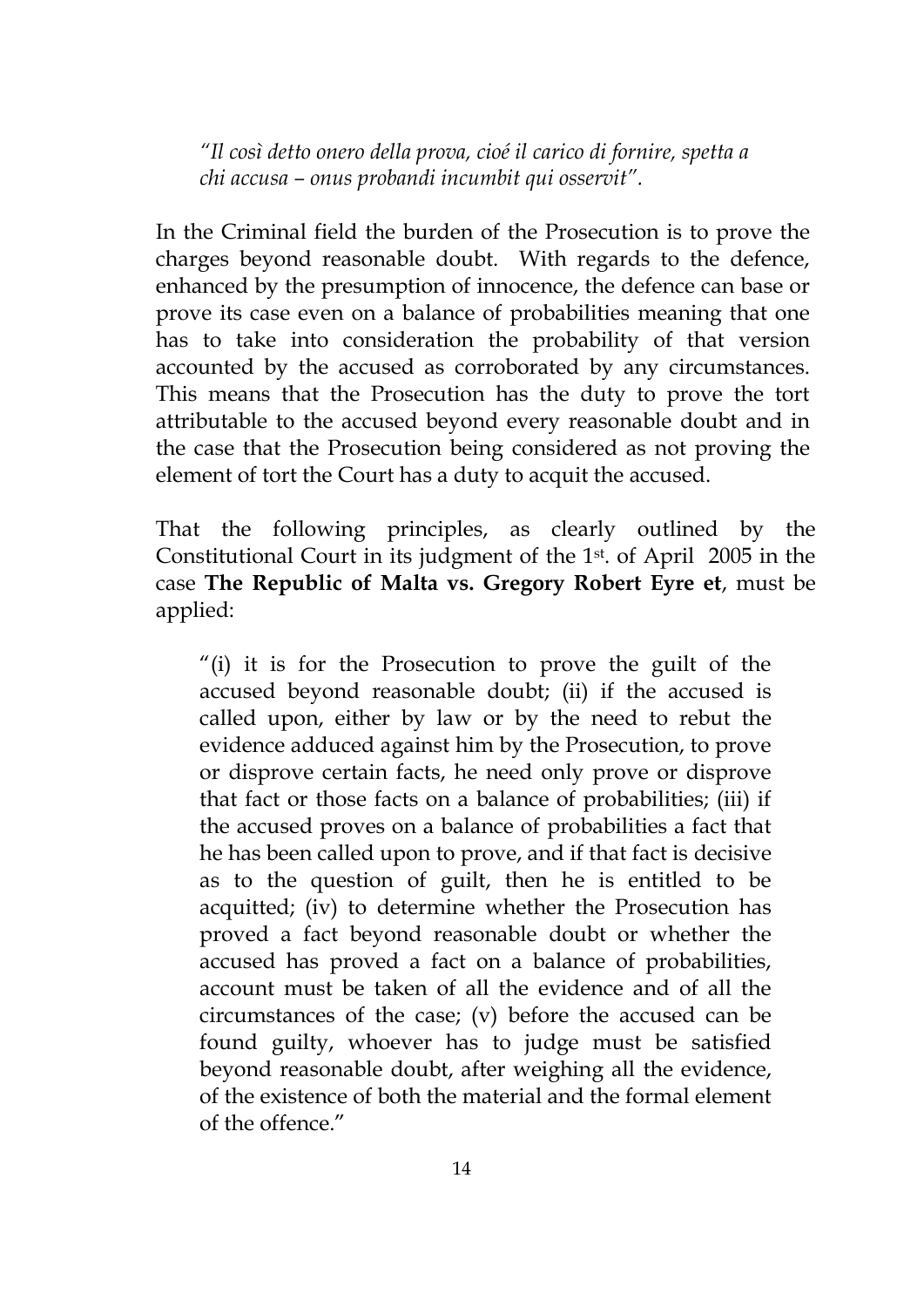*"Il così detto onero della prova, cioé il carico di fornire, spetta a chi accusa – onus probandi incumbit qui osservit".*

In the Criminal field the burden of the Prosecution is to prove the charges beyond reasonable doubt. With regards to the defence, enhanced by the presumption of innocence, the defence can base or prove its case even on a balance of probabilities meaning that one has to take into consideration the probability of that version accounted by the accused as corroborated by any circumstances. This means that the Prosecution has the duty to prove the tort attributable to the accused beyond every reasonable doubt and in the case that the Prosecution being considered as not proving the element of tort the Court has a duty to acquit the accused.

That the following principles, as clearly outlined by the Constitutional Court in its judgment of the 1st. of April 2005 in the case **The Republic of Malta vs. Gregory Robert Eyre et**, must be applied:

"(i) it is for the Prosecution to prove the guilt of the accused beyond reasonable doubt; (ii) if the accused is called upon, either by law or by the need to rebut the evidence adduced against him by the Prosecution, to prove or disprove certain facts, he need only prove or disprove that fact or those facts on a balance of probabilities; (iii) if the accused proves on a balance of probabilities a fact that he has been called upon to prove, and if that fact is decisive as to the question of guilt, then he is entitled to be acquitted; (iv) to determine whether the Prosecution has proved a fact beyond reasonable doubt or whether the accused has proved a fact on a balance of probabilities, account must be taken of all the evidence and of all the circumstances of the case; (v) before the accused can be found guilty, whoever has to judge must be satisfied beyond reasonable doubt, after weighing all the evidence, of the existence of both the material and the formal element of the offence."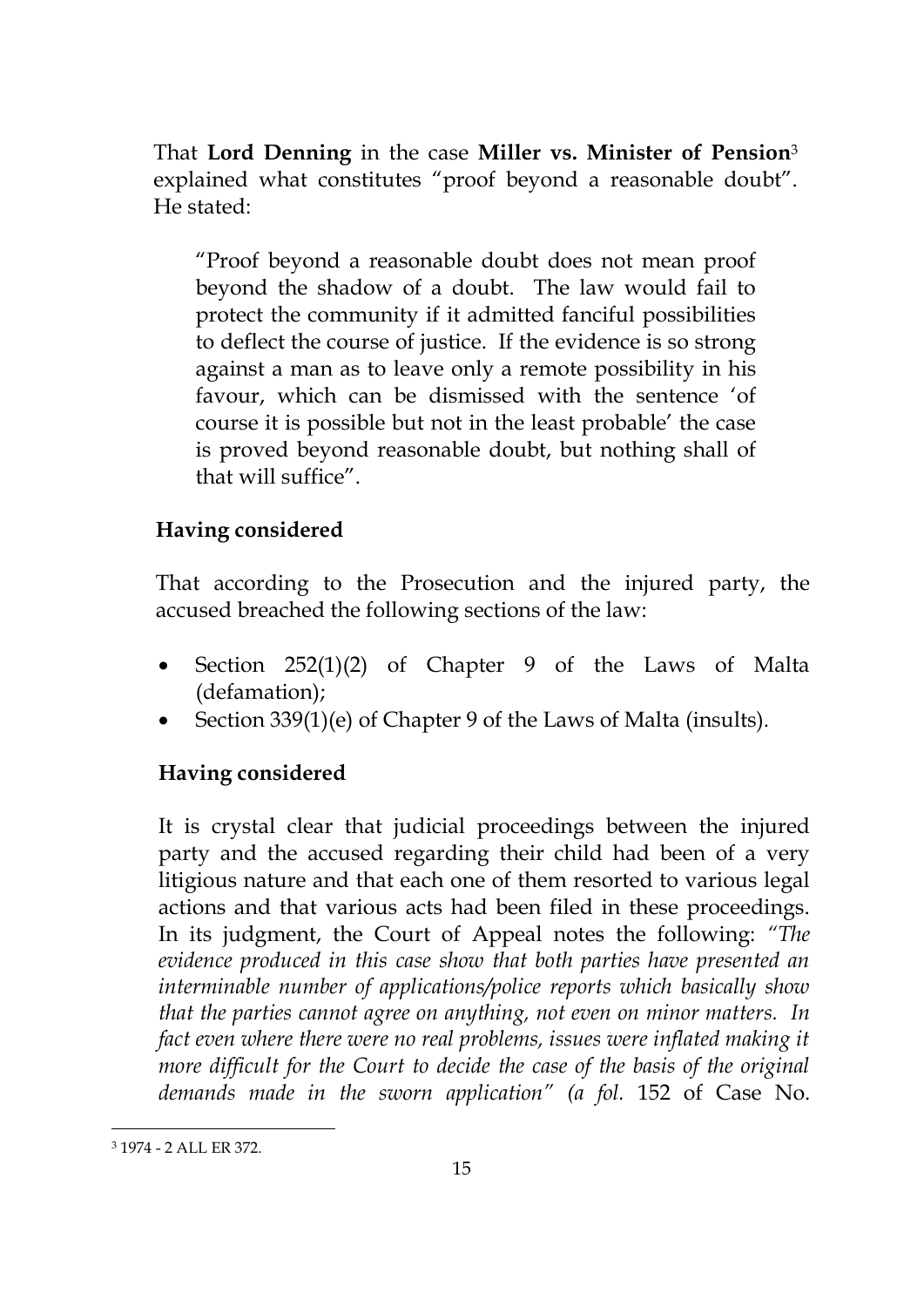That **Lord Denning** in the case **Miller vs. Minister of Pension**<sup>3</sup> explained what constitutes "proof beyond a reasonable doubt". He stated:

"Proof beyond a reasonable doubt does not mean proof beyond the shadow of a doubt. The law would fail to protect the community if it admitted fanciful possibilities to deflect the course of justice. If the evidence is so strong against a man as to leave only a remote possibility in his favour, which can be dismissed with the sentence 'of course it is possible but not in the least probable' the case is proved beyond reasonable doubt, but nothing shall of that will suffice".

# **Having considered**

That according to the Prosecution and the injured party, the accused breached the following sections of the law:

- Section 252(1)(2) of Chapter 9 of the Laws of Malta (defamation);
- Section 339(1)(e) of Chapter 9 of the Laws of Malta (insults).

### **Having considered**

It is crystal clear that judicial proceedings between the injured party and the accused regarding their child had been of a very litigious nature and that each one of them resorted to various legal actions and that various acts had been filed in these proceedings. In its judgment, the Court of Appeal notes the following: *"The evidence produced in this case show that both parties have presented an interminable number of applications/police reports which basically show that the parties cannot agree on anything, not even on minor matters. In fact even where there were no real problems, issues were inflated making it more difficult for the Court to decide the case of the basis of the original demands made in the sworn application" (a fol.* 152 of Case No.

<u>.</u>

<sup>3</sup> 1974 - 2 ALL ER 372.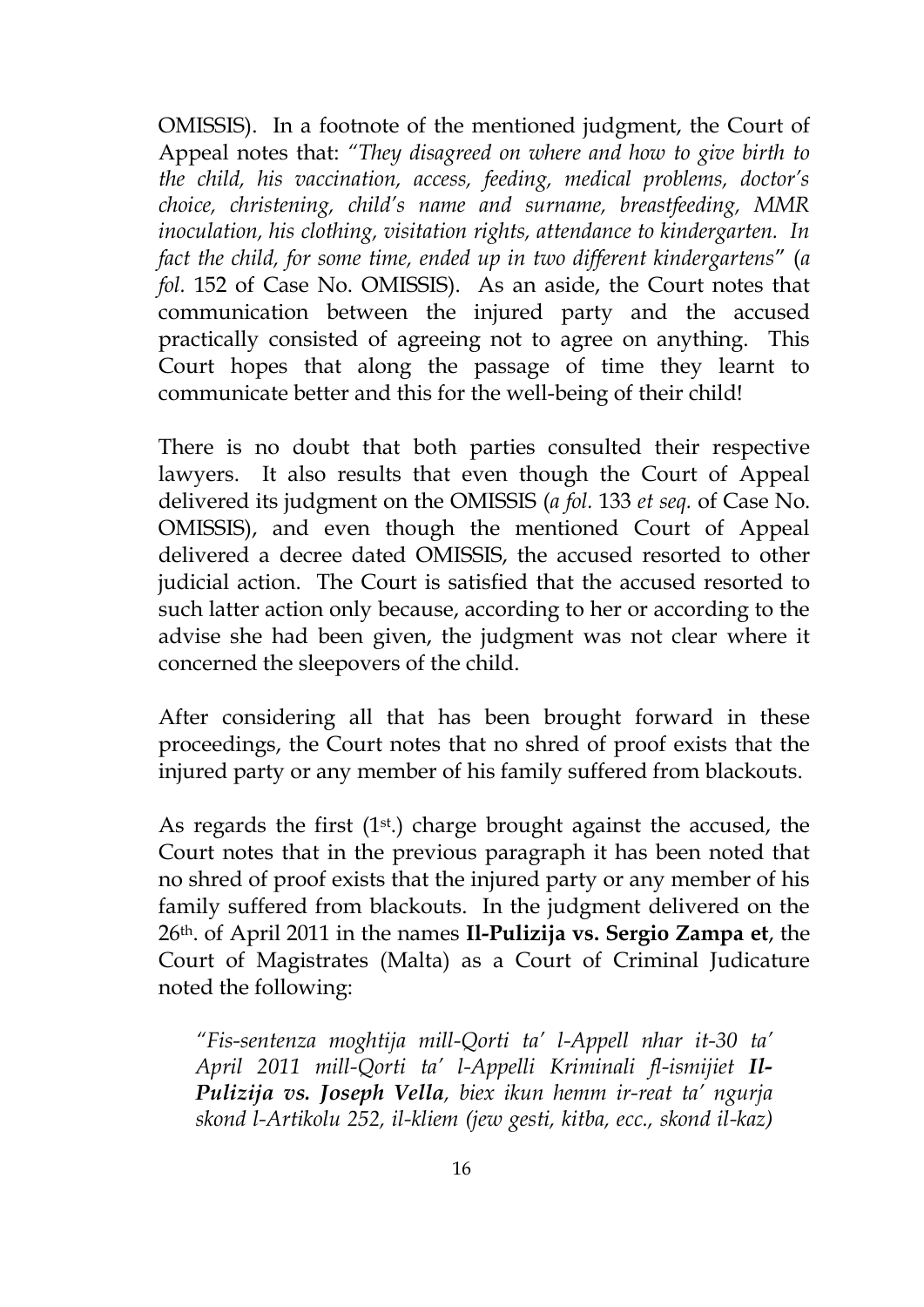OMISSIS). In a footnote of the mentioned judgment, the Court of Appeal notes that: *"They disagreed on where and how to give birth to the child, his vaccination, access, feeding, medical problems, doctor's choice, christening, child's name and surname, breastfeeding, MMR inoculation, his clothing, visitation rights, attendance to kindergarten. In fact the child, for some time, ended up in two different kindergartens*" (*a fol.* 152 of Case No. OMISSIS). As an aside, the Court notes that communication between the injured party and the accused practically consisted of agreeing not to agree on anything. This Court hopes that along the passage of time they learnt to communicate better and this for the well-being of their child!

There is no doubt that both parties consulted their respective lawyers. It also results that even though the Court of Appeal delivered its judgment on the OMISSIS (*a fol.* 133 *et seq.* of Case No. OMISSIS), and even though the mentioned Court of Appeal delivered a decree dated OMISSIS, the accused resorted to other judicial action. The Court is satisfied that the accused resorted to such latter action only because, according to her or according to the advise she had been given, the judgment was not clear where it concerned the sleepovers of the child.

After considering all that has been brought forward in these proceedings, the Court notes that no shred of proof exists that the injured party or any member of his family suffered from blackouts.

As regards the first  $(1<sup>st</sup>)$  charge brought against the accused, the Court notes that in the previous paragraph it has been noted that no shred of proof exists that the injured party or any member of his family suffered from blackouts. In the judgment delivered on the 26th. of April 2011 in the names **Il-Pulizija vs. Sergio Zampa et**, the Court of Magistrates (Malta) as a Court of Criminal Judicature noted the following:

*"Fis-sentenza moghtija mill-Qorti ta' l-Appell nhar it-30 ta' April 2011 mill-Qorti ta' l-Appelli Kriminali fl-ismijiet Il-Pulizija vs. Joseph Vella, biex ikun hemm ir-reat ta' ngurja skond l-Artikolu 252, il-kliem (jew gesti, kitba, ecc., skond il-kaz)*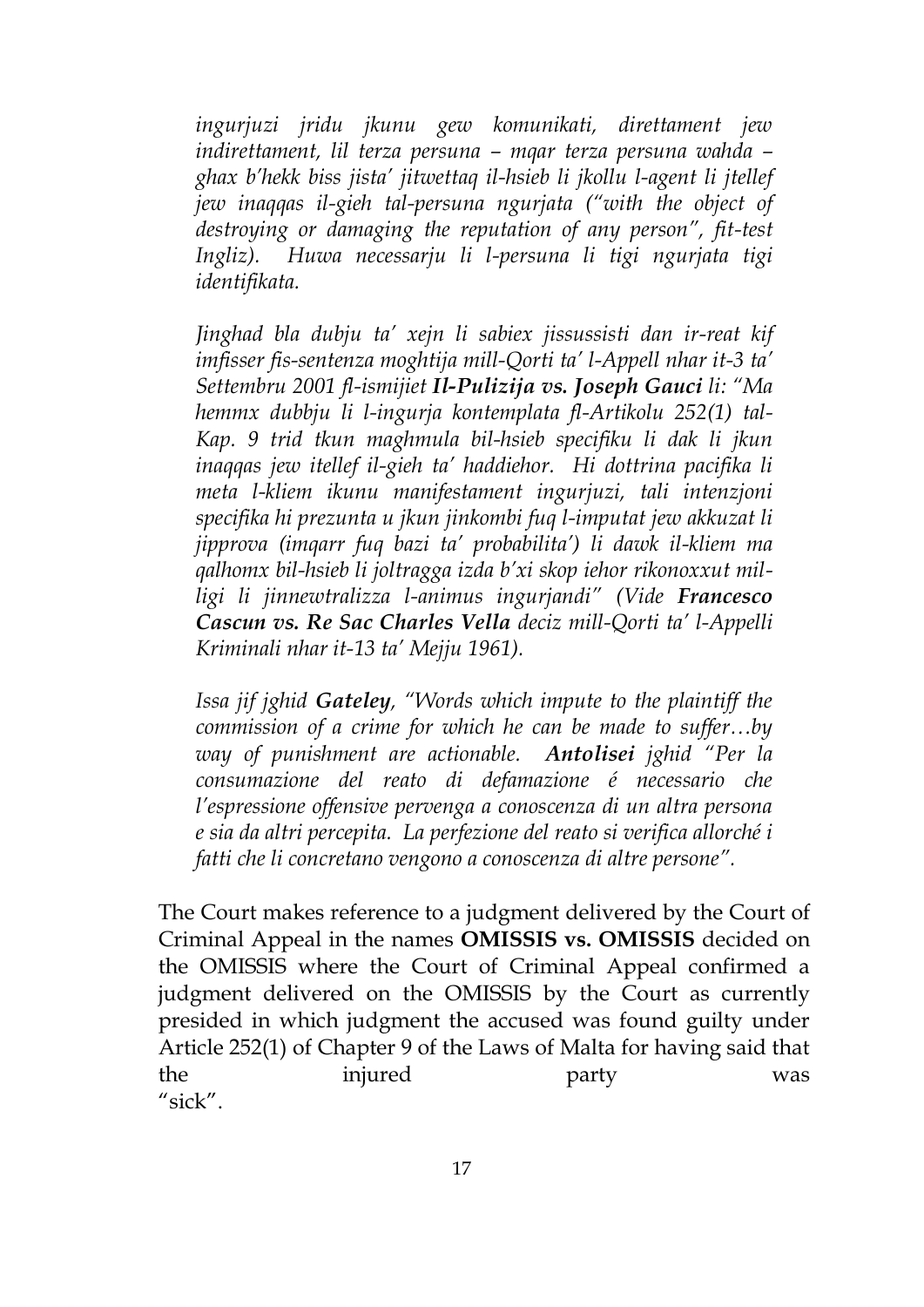*ingurjuzi jridu jkunu gew komunikati, direttament jew indirettament, lil terza persuna – mqar terza persuna wahda – ghax b'hekk biss jista' jitwettaq il-hsieb li jkollu l-agent li jtellef jew inaqqas il-gieh tal-persuna ngurjata ("with the object of destroying or damaging the reputation of any person", fit-test Ingliz). Huwa necessarju li l-persuna li tigi ngurjata tigi identifikata.*

*Jinghad bla dubju ta' xejn li sabiex jissussisti dan ir-reat kif imfisser fis-sentenza moghtija mill-Qorti ta' l-Appell nhar it-3 ta' Settembru 2001 fl-ismijiet Il-Pulizija vs. Joseph Gauci li: "Ma hemmx dubbju li l-ingurja kontemplata fl-Artikolu 252(1) tal-Kap. 9 trid tkun maghmula bil-hsieb specifiku li dak li jkun inaqqas jew itellef il-gieh ta' haddiehor. Hi dottrina pacifika li meta l-kliem ikunu manifestament ingurjuzi, tali intenzjoni specifika hi prezunta u jkun jinkombi fuq l-imputat jew akkuzat li jipprova (imqarr fuq bazi ta' probabilita') li dawk il-kliem ma qalhomx bil-hsieb li joltragga izda b'xi skop iehor rikonoxxut milligi li jinnewtralizza l-animus ingurjandi" (Vide Francesco Cascun vs. Re Sac Charles Vella deciz mill-Qorti ta' l-Appelli Kriminali nhar it-13 ta' Mejju 1961).*

*Issa jif jghid Gateley, "Words which impute to the plaintiff the commission of a crime for which he can be made to suffer…by way of punishment are actionable. Antolisei jghid "Per la consumazione del reato di defamazione é necessario che l'espressione offensive pervenga a conoscenza di un altra persona e sia da altri percepita. La perfezione del reato si verifica allorché i fatti che li concretano vengono a conoscenza di altre persone".* 

The Court makes reference to a judgment delivered by the Court of Criminal Appeal in the names **OMISSIS vs. OMISSIS** decided on the OMISSIS where the Court of Criminal Appeal confirmed a judgment delivered on the OMISSIS by the Court as currently presided in which judgment the accused was found guilty under Article 252(1) of Chapter 9 of the Laws of Malta for having said that the injured party was "sick".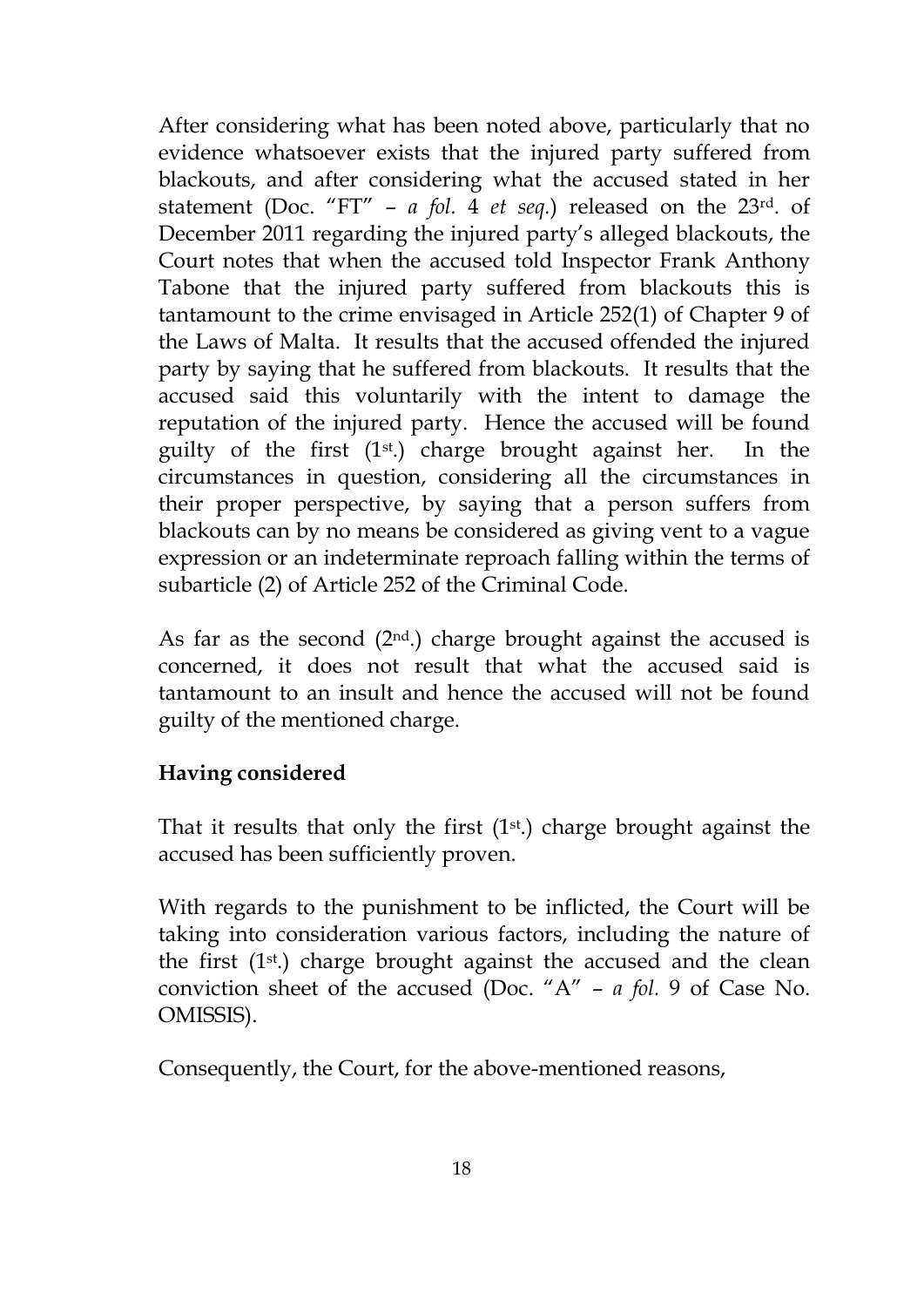After considering what has been noted above, particularly that no evidence whatsoever exists that the injured party suffered from blackouts, and after considering what the accused stated in her statement (Doc. "FT" – *a fol.* 4 *et seq.*) released on the 23rd. of December 2011 regarding the injured party's alleged blackouts, the Court notes that when the accused told Inspector Frank Anthony Tabone that the injured party suffered from blackouts this is tantamount to the crime envisaged in Article 252(1) of Chapter 9 of the Laws of Malta. It results that the accused offended the injured party by saying that he suffered from blackouts. It results that the accused said this voluntarily with the intent to damage the reputation of the injured party. Hence the accused will be found guilty of the first (1st .) charge brought against her. In the circumstances in question, considering all the circumstances in their proper perspective, by saying that a person suffers from blackouts can by no means be considered as giving vent to a vague expression or an indeterminate reproach falling within the terms of subarticle (2) of Article 252 of the Criminal Code.

As far as the second  $(2<sup>nd</sup>)$  charge brought against the accused is concerned, it does not result that what the accused said is tantamount to an insult and hence the accused will not be found guilty of the mentioned charge.

### **Having considered**

That it results that only the first  $(1<sup>st</sup>)$  charge brought against the accused has been sufficiently proven.

With regards to the punishment to be inflicted, the Court will be taking into consideration various factors, including the nature of the first  $(1<sup>st</sup>)$  charge brought against the accused and the clean conviction sheet of the accused (Doc. "A" – *a fol.* 9 of Case No. OMISSIS).

Consequently, the Court, for the above-mentioned reasons,